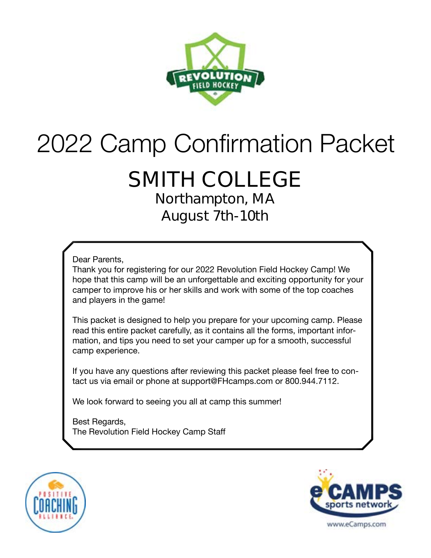

# 2022 Camp Confirmation Packet

# **SMITH COLLEGE**

**Northampton, MA August 7th-10th** 

Dear Parents,

Thank you for registering for our 2022 Revolution Field Hockey Camp! We hope that this camp will be an unforgettable and exciting opportunity for your camper to improve his or her skills and work with some of the top coaches and players in the game!

This packet is designed to help you prepare for your upcoming camp. Please read this entire packet carefully, as it contains all the forms, important information, and tips you need to set your camper up for a smooth, successful camp experience.

If you have any questions after reviewing this packet please feel free to contact us via email or phone at support@FHcamps.com or 800.944.7112.

We look forward to seeing you all at camp this summer!

Best Regards, The Revolution Field Hockey Camp Staff



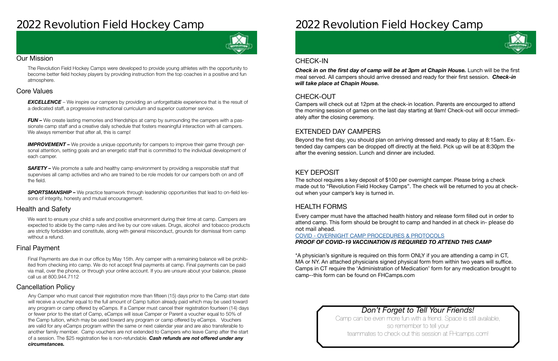### **2022 Revolution Field Hockey Camp**



#### Our Mission

The Revolution Field Hockey Camps were developed to provide young athletes with the opportunity to become better field hockey players by providing instruction from the top coaches in a positive and fun atmosphere.

#### Health and Safety

We want to ensure your child a safe and positive environment during their time at camp. Campers are expected to abide by the camp rules and live by our core values. Drugs, alcohol and tobacco products are strictly forbidden and constitute, along with general misconduct, grounds for dismissal from camp without a refund.

#### Cancellation Policy

#### Final Payment

**EXCELLENCE** – We inspire our campers by providing an unforgettable experience that is the result of a dedicated staff, a progressive instructional curriculum and superior customer service.

*FUN –* We create lasting memories and friendships at camp by surrounding the campers with a passionate camp staff and a creative daily schedule that fosters meaningful interaction with all campers. We always remember that after all, this is camp!

#### Core Values

**IMPROVEMENT** – We provide a unique opportunity for campers to improve their game through personal attention, setting goals and an energetic staff that is committed to the individual development of each camper.

**SAFETY** – We promote a safe and healthy camp environment by providing a responsible staff that supervises all camp activities and who are trained to be role models for our campers both on and off the field.

**SPORTSMANSHIP –** We practice teamwork through leadership opportunities that lead to on-field lessons of integrity, honesty and mutual encouragement.

> Camp can be even more fun with a friend. Space is still available, so remember to tell your teammates to check out this session at FHcamps.com!

Final Payments are due in our office by May 15th. Any camper with a remaining balance will be prohibited from checking into camp. We do not accept final payments at camp. Final payments can be paid via mail, over the phone, or through your online account. If you are unsure about your balance, please call us at 800.944.7112

**Check in on the first day of camp will be at 3pm at Chapin House.** Lunch will be the first meal served. All campers should arrive dressed and ready for their first session. *Check-in will take place at Chapin House.* 

Any Camper who must cancel their registration more than fifteen (15) days prior to the Camp start date will receive a voucher equal to the full amount of Camp tuition already paid which may be used toward any program or camp offered by eCamps. If a Camper must cancel their registration fourteen (14) days or fewer prior to the start of Camp, eCamps will issue Camper or Parent a voucher equal to 50% of the Camp tuition, which may be used toward any program or camp offered by eCamps. Vouchers are valid for any eCamps program within the same or next calendar year and are also transferable to another family member. Camp vouchers are not extended to Campers who leave Camp after the start of a session. The \$25 registration fee is non-refundable. *Cash refunds are not offered under any circumstances.*

# **2022 Revolution Field Hockey Camp**

### *Don't Forget to Tell Your Friends!*

#### CHECK-OUT

#### EXTENDED DAY CAMPERS

#### KEY DEPOSIT

#### HEALTH FORMS

Campers will check out at 12pm at the check-in location. Parents are encourged to attend the morning session of games on the last day starting at 9am! Check-out will occur immediately after the closing ceremony.

Beyond the first day, you should plan on arriving dressed and ready to play at 8:15am. Extended day campers can be dropped off directly at the field. Pick up will be at 8:30pm the after the evening session. Lunch and dinner are included.

The school requires a key deposit of \$100 per overnight camper. Please bring a check made out to "Revolution Field Hockey Camps". The check will be returned to you at checkout when your camper's key is turned in.

Every camper must have the attached health history and release form filled out in order to attend camp. This form should be brought to camp and handed in at check in- **please do not mail ahead**.

#### COVID - [OVERNIGHT CAMP PROCEDURES & PROTOCOLS](https://laxcamps.com/wp-content/uploads/COVID-19-eCamps-Sports-Network-Guidlines-Overnight-Camp.pdf) *PROOF OF COVID-19 VACCINATION IS REQUIRED TO ATTEND THIS CAMP*

\*A physician's signiture is required on this form ONLY if you are attending a camp in CT, MA or NY. An attached physicians signed physical form from within two years will suffice. Camps in CT require the 'Administration of Medication' form for any medication brought to camp--this form can be found on FHCamps.com

#### CHECK-IN